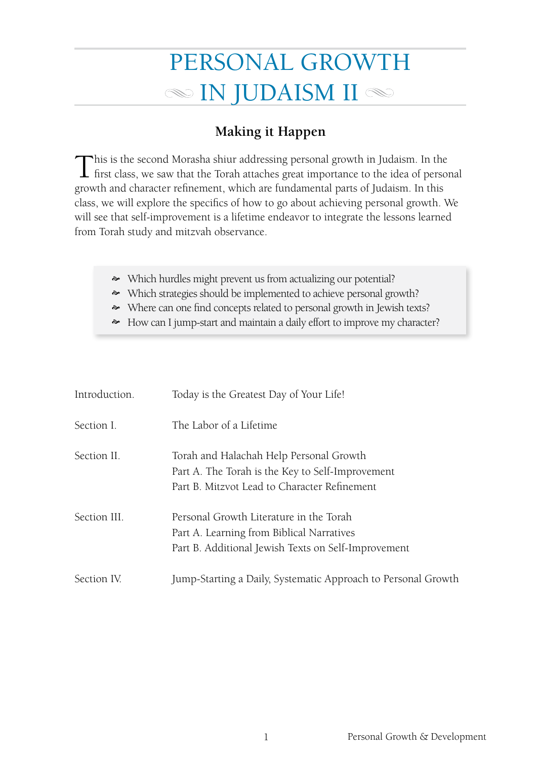# PERSONAL GROWTH  $\infty$  IN JUDAISM II  $\infty$

# **Making it Happen**

This is the second Morasha shiur addressing personal growth in Judaism. In the first class, we saw that the Torah attaches great importance to the idea of personal growth and character refinement, which are fundamental parts of Judaism. In this class, we will explore the specifics of how to go about achieving personal growth. We will see that self-improvement is a lifetime endeavor to integrate the lessons learned from Torah study and mitzvah observance.

- Which hurdles might prevent us from actualizing our potential?
- Which strategies should be implemented to achieve personal growth?
- Where can one find concepts related to personal growth in Jewish texts?
- How can I jump-start and maintain a daily effort to improve my character?

| Introduction. | Today is the Greatest Day of Your Life!                                                                                                     |
|---------------|---------------------------------------------------------------------------------------------------------------------------------------------|
| Section I.    | The Labor of a Lifetime                                                                                                                     |
| Section II.   | Torah and Halachah Help Personal Growth<br>Part A. The Torah is the Key to Self-Improvement<br>Part B. Mitzvot Lead to Character Refinement |
| Section III.  | Personal Growth Literature in the Torah<br>Part A. Learning from Biblical Narratives<br>Part B. Additional Jewish Texts on Self-Improvement |
| Section IV.   | Jump-Starting a Daily, Systematic Approach to Personal Growth                                                                               |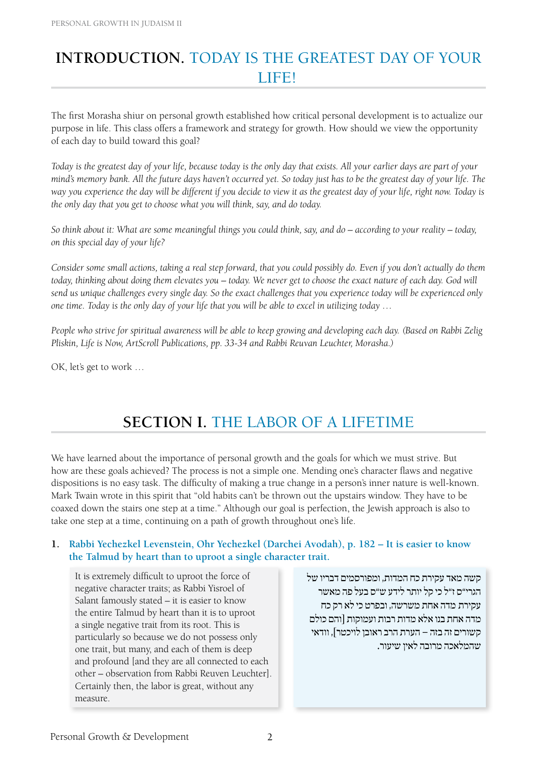# **Introduction.** Today is the Greatest Day of Your LIFE!

The first Morasha shiur on personal growth established how critical personal development is to actualize our purpose in life. This class offers a framework and strategy for growth. How should we view the opportunity of each day to build toward this goal?

*Today is the greatest day of your life, because today is the only day that exists. All your earlier days are part of your mind's memory bank. All the future days haven't occurred yet. So today just has to be the greatest day of your life. The way you experience the day will be different if you decide to view it as the greatest day of your life, right now. Today is the only day that you get to choose what you will think, say, and do today.* 

*So think about it: What are some meaningful things you could think, say, and do – according to your reality – today, on this special day of your life?* 

*Consider some small actions, taking a real step forward, that you could possibly do. Even if you don't actually do them today, thinking about doing them elevates you – today. We never get to choose the exact nature of each day. God will send us unique challenges every single day. So the exact challenges that you experience today will be experienced only one time. Today is the only day of your life that you will be able to excel in utilizing today …*

*People who strive for spiritual awareness will be able to keep growing and developing each day. (Based on Rabbi Zelig Pliskin, Life is Now, ArtScroll Publications, pp. 33-34 and Rabbi Reuvan Leuchter, Morasha.)*

OK, let's get to work …

# **SECTION I. THE LABOR OF A LIFETIME**

We have learned about the importance of personal growth and the goals for which we must strive. But how are these goals achieved? The process is not a simple one. Mending one's character flaws and negative dispositions is no easy task. The difficulty of making a true change in a person's inner nature is well-known. Mark Twain wrote in this spirit that "old habits can't be thrown out the upstairs window. They have to be coaxed down the stairs one step at a time." Although our goal is perfection, the Jewish approach is also to take one step at a time, continuing on a path of growth throughout one's life.

## **1. Rabbi Yechezkel Levenstein, Ohr Yechezkel (Darchei Avodah), p. 182 – It is easier to know the Talmud by heart than to uproot a single character trait.**

It is extremely difficult to uproot the force of negative character traits; as Rabbi Yisroel of Salant famously stated – it is easier to know the entire Talmud by heart than it is to uproot a single negative trait from its root. This is particularly so because we do not possess only one trait, but many, and each of them is deep and profound [and they are all connected to each other – observation from Rabbi Reuven Leuchter]. Certainly then, the labor is great, without any measure.

קשה מאד עקירת כח המדות, ומפורסמים דבריו של הגרי"ס ז"ל כי קל יותר לידע ש"ס בעל פה מאשר עקירת מדה אחת משרשה, ובפרט כי לא רק כח מדה אחת בנו אלא מדות רבות ועמוקות ]והם כולם קשורים זה בזה – הערת הרב ראובן לויכטר[, וודאי שהמלאכה מרובה לאין שיעור.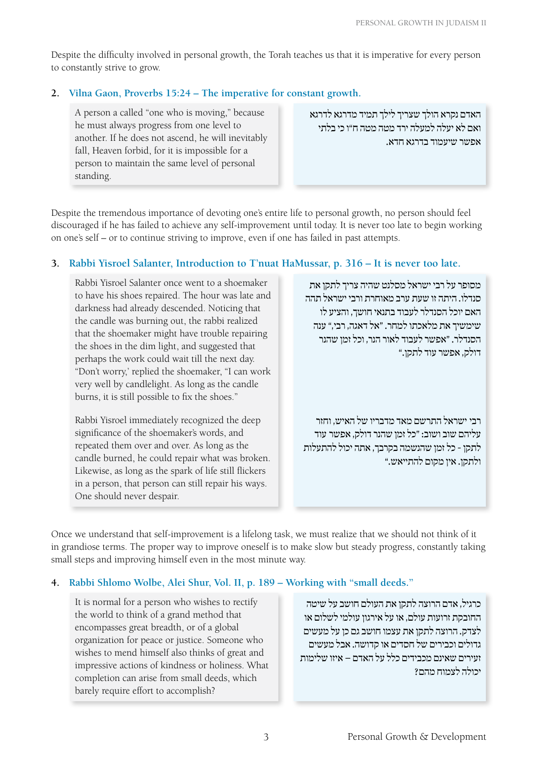Despite the difficulty involved in personal growth, the Torah teaches us that it is imperative for every person to constantly strive to grow.

### **2. Vilna Gaon, Proverbs 15:24 – The imperative for constant growth.**

A person a called "one who is moving," because he must always progress from one level to another. If he does not ascend, he will inevitably fall, Heaven forbid, for it is impossible for a person to maintain the same level of personal standing.

האדם נקרא הולך שצריך לילך תמיד מדרגא לדרגא ואם לא יעלה למעלה ירד מטה מטה ח"ו כי בלתי אפשר שיעמוד בדרגא חדא.

Despite the tremendous importance of devoting one's entire life to personal growth, no person should feel discouraged if he has failed to achieve any self-improvement until today. It is never too late to begin working on one's self – or to continue striving to improve, even if one has failed in past attempts.

### **3. Rabbi Yisroel Salanter, Introduction to T'nuat HaMussar, p. 316 – It is never too late.**

Rabbi Yisroel Salanter once went to a shoemaker to have his shoes repaired. The hour was late and darkness had already descended. Noticing that the candle was burning out, the rabbi realized that the shoemaker might have trouble repairing the shoes in the dim light, and suggested that perhaps the work could wait till the next day. "Don't worry,' replied the shoemaker, "I can work very well by candlelight. As long as the candle burns, it is still possible to fix the shoes."

Rabbi Yisroel immediately recognized the deep significance of the shoemaker's words, and repeated them over and over. As long as the candle burned, he could repair what was broken. Likewise, as long as the spark of life still flickers in a person, that person can still repair his ways. One should never despair.

מסופר על רבי ישראל מסלנט שהיה צריך לתקן את סנדלו. היתה זו שעת ערב מאוחרת ורבי ישראל תהה האם יוכל הסנדלר לעבוד בתנאי חושך, והציע לו שימשיך את מלאכתו למחר. "אל דאגה, רבי," ענה הסנדלר. "אפשר לעבוד לאור הנר, וכל זמן שהנר דולק, אפשר עוד לתקן."

רבי ישראל התרשם מאד מדבריו של האיש, וחזר עליהם שוב ושוב: "כל זמן שהנר דולק, אפשר עוד לתקן - כל זמן שהנשמה בקרבך, אתה יכול להתעלות ולתקן. אין מקום להתייאש."

Once we understand that self-improvement is a lifelong task, we must realize that we should not think of it in grandiose terms. The proper way to improve oneself is to make slow but steady progress, constantly taking small steps and improving himself even in the most minute way.

### **4. Rabbi Shlomo Wolbe, Alei Shur, Vol. II, p. 189 – Working with "small deeds."**

It is normal for a person who wishes to rectify the world to think of a grand method that encompasses great breadth, or of a global organization for peace or justice. Someone who wishes to mend himself also thinks of great and impressive actions of kindness or holiness. What completion can arise from small deeds, which barely require effort to accomplish?

כרגיל, אדם הרוצה לתקן את העולם חושב על שיטה החובקת זרועות עולם, או על אירגון עולמי לשלום או לצדק. הרוצה לתקן את עצמו חושב גם כן על מעשים גדולים וכבירים של חסדים או קדושה. אבל מעשים זעירים שאינם מכבידים כלל על האדם – איזו שלימות יכולה לצמוח מהם?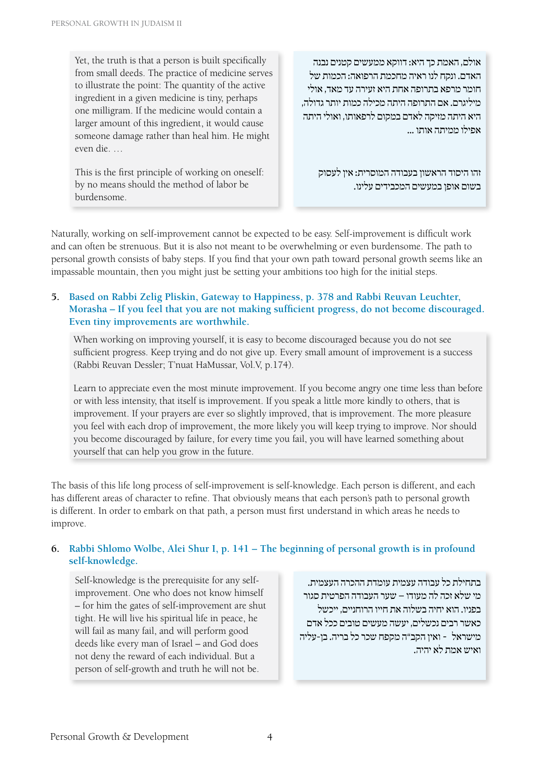Yet, the truth is that a person is built specifically from small deeds. The practice of medicine serves to illustrate the point: The quantity of the active ingredient in a given medicine is tiny, perhaps one milligram. If the medicine would contain a larger amount of this ingredient, it would cause someone damage rather than heal him. He might even die. …

This is the first principle of working on oneself: by no means should the method of labor be burdensome.

אולם, האמת כך היא: דווקא ממעשים קטנים נבנה האדם. ונקח לנו ראיה מחכמת הרפואה: הכמות של חומר מרפא בתרופה אחת היא זעירה עד מאד, אולי מיליגרם. אם התרופה היתה מכילה כמות יותר גדולה, היא היתה מזיקה לאדם במקום לרפאותו, ואולי היתה אפילו ממיתה אותו ...

זהו היסוד הראשון בעבודה המוסרית: אין לעסוק בשום אופן במעשים המכבידים עלינו.

Naturally, working on self-improvement cannot be expected to be easy. Self-improvement is difficult work and can often be strenuous. But it is also not meant to be overwhelming or even burdensome. The path to personal growth consists of baby steps. If you find that your own path toward personal growth seems like an impassable mountain, then you might just be setting your ambitions too high for the initial steps.

**5. Based on Rabbi Zelig Pliskin, Gateway to Happiness, p. 378 and Rabbi Reuvan Leuchter, Morasha – If you feel that you are not making sufficient progress, do not become discouraged. Even tiny improvements are worthwhile.**

When working on improving yourself, it is easy to become discouraged because you do not see sufficient progress. Keep trying and do not give up. Every small amount of improvement is a success (Rabbi Reuvan Dessler; T'nuat HaMussar, Vol.V, p.174).

Learn to appreciate even the most minute improvement. If you become angry one time less than before or with less intensity, that itself is improvement. If you speak a little more kindly to others, that is improvement. If your prayers are ever so slightly improved, that is improvement. The more pleasure you feel with each drop of improvement, the more likely you will keep trying to improve. Nor should you become discouraged by failure, for every time you fail, you will have learned something about yourself that can help you grow in the future.

The basis of this life long process of self-improvement is self-knowledge. Each person is different, and each has different areas of character to refine. That obviously means that each person's path to personal growth is different. In order to embark on that path, a person must first understand in which areas he needs to improve.

## **6. Rabbi Shlomo Wolbe, Alei Shur I, p. 141 – The beginning of personal growth is in profound self-knowledge.**

Self-knowledge is the prerequisite for any selfimprovement. One who does not know himself – for him the gates of self-improvement are shut tight. He will live his spiritual life in peace, he will fail as many fail, and will perform good deeds like every man of Israel – and God does not deny the reward of each individual. But a person of self-growth and truth he will not be.

בתחילת כל עבודה עצמית עומדת ההכרה העצמית. מי שלא זכה לה מעודו – שער העבודה הפרטית סגור בפניו. הוא יחיה בשלוה את חייו הרוחניים, ייכשל כאשר רבים נכשלים, יעשה מעשים טובים ככל אדם מישראל – ואין הקב"ה מקפח שכר כל בריה. בן-עליה ואיש אמת לא יהיה.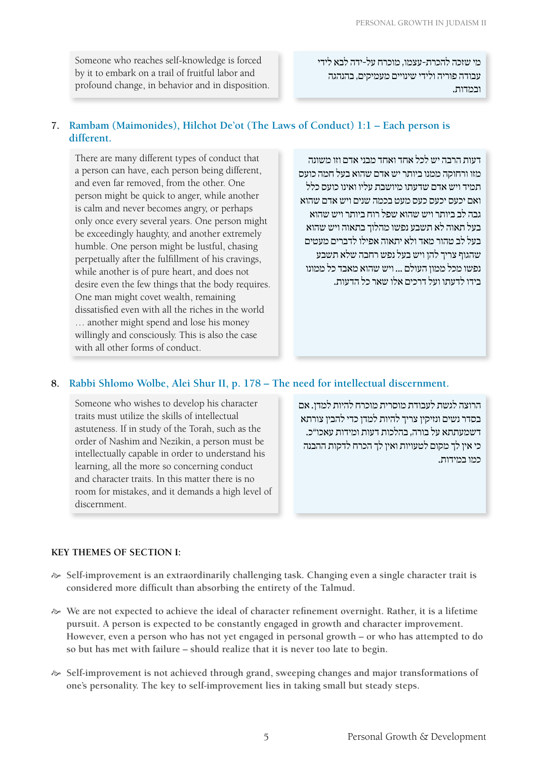Someone who reaches self-knowledge is forced by it to embark on a trail of fruitful labor and profound change, in behavior and in disposition. מי שזכה להכרת-עצמו, מוכרח על-ידה לבא לידי עבודה פוריה ולידי שינויים מעמיקים, בהנהגה ובמדות.

# **7. Rambam (Maimonides), Hilchot De'ot (The Laws of Conduct) 1:1 – Each person is different.**

There are many different types of conduct that a person can have, each person being different, and even far removed, from the other. One person might be quick to anger, while another is calm and never becomes angry, or perhaps only once every several years. One person might be exceedingly haughty, and another extremely humble. One person might be lustful, chasing perpetually after the fulfillment of his cravings, while another is of pure heart, and does not desire even the few things that the body requires. One man might covet wealth, remaining dissatisfied even with all the riches in the world … another might spend and lose his money willingly and consciously. This is also the case with all other forms of conduct.

דעות הרבה יש לכל אחד ואחד מבני אדם וזו משונה מזו ורחוקה ממנו ביותר יש אדם שהוא בעל חמה כועס תמיד ויש אדם שדעתו מיושבת עליו ואינו כועס כלל ואם יכעס יכעס כעס מעט בכמה שנים ויש אדם שהוא גבה לב ביותר ויש שהוא שפל רוח ביותר ויש שהוא בעל תאוה לא תשבע נפשו מהלוך בתאוה ויש שהוא בעל לב טהור מאד ולא יתאוה אפילו לדברים מעטים שהגוף צריך להן ויש בעל נפש רחבה שלא תשבע נפשו מכל ממון העולם ... ויש שהוא מאבד כל ממונו בידו לדעתו ועל דרכים אלו שאר כל הדעות.

# **8. Rabbi Shlomo Wolbe, Alei Shur II, p. 178 – The need for intellectual discernment.**

Someone who wishes to develop his character traits must utilize the skills of intellectual astuteness. If in study of the Torah, such as the order of Nashim and Nezikin, a person must be intellectually capable in order to understand his learning, all the more so concerning conduct and character traits. In this matter there is no room for mistakes, and it demands a high level of discernment.

הרוצה לגשת לעבודת מוסרית מוכרח להיות למדן. אם בסדר נשים ונזיקין צריך להיות למדן כדי להבין צורתא דשמעתתא על בורה, בהלכות דעות ומידות עאכו"כ. כי אין לך מקום לטעויות ואין לך הכרח לדקות ההבנה כמו במידות.

### **Key Themes of Section I:**

- H **Self-improvement is an extraordinarily challenging task. Changing even a single character trait is considered more difficult than absorbing the entirety of the Talmud.**
- H **We are not expected to achieve the ideal of character refinement overnight. Rather, it is a lifetime pursuit. A person is expected to be constantly engaged in growth and character improvement. However, even a person who has not yet engaged in personal growth – or who has attempted to do so but has met with failure – should realize that it is never too late to begin.**
- $\approx$  Self-improvement is not achieved through grand, sweeping changes and major transformations of **one's personality. The key to self-improvement lies in taking small but steady steps.**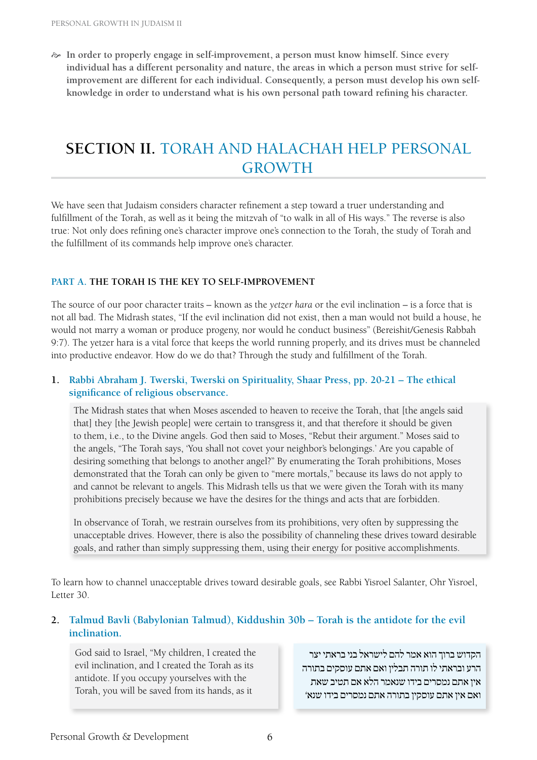H **In order to properly engage in self-improvement, a person must know himself. Since every individual has a different personality and nature, the areas in which a person must strive for selfimprovement are different for each individual. Consequently, a person must develop his own selfknowledge in order to understand what is his own personal path toward refining his character.**

# **Section II.** Torah and Halachah Help Personal **GROWTH**

We have seen that Judaism considers character refinement a step toward a truer understanding and fulfillment of the Torah, as well as it being the mitzvah of "to walk in all of His ways." The reverse is also true: Not only does refining one's character improve one's connection to the Torah, the study of Torah and the fulfillment of its commands help improve one's character.

### **Part A. The Torah is the Key to Self-Improvement**

The source of our poor character traits – known as the *yetzer hara* or the evil inclination – is a force that is not all bad. The Midrash states, "If the evil inclination did not exist, then a man would not build a house, he would not marry a woman or produce progeny, nor would he conduct business" (Bereishit/Genesis Rabbah 9:7). The yetzer hara is a vital force that keeps the world running properly, and its drives must be channeled into productive endeavor. How do we do that? Through the study and fulfillment of the Torah.

### **1. Rabbi Abraham J. Twerski, Twerski on Spirituality, Shaar Press, pp. 20-21 – The ethical significance of religious observance.**

The Midrash states that when Moses ascended to heaven to receive the Torah, that [the angels said that] they [the Jewish people] were certain to transgress it, and that therefore it should be given to them, i.e., to the Divine angels. God then said to Moses, "Rebut their argument." Moses said to the angels, "The Torah says, 'You shall not covet your neighbor's belongings.' Are you capable of desiring something that belongs to another angel?" By enumerating the Torah prohibitions, Moses demonstrated that the Torah can only be given to "mere mortals," because its laws do not apply to and cannot be relevant to angels. This Midrash tells us that we were given the Torah with its many prohibitions precisely because we have the desires for the things and acts that are forbidden.

In observance of Torah, we restrain ourselves from its prohibitions, very often by suppressing the unacceptable drives. However, there is also the possibility of channeling these drives toward desirable goals, and rather than simply suppressing them, using their energy for positive accomplishments.

To learn how to channel unacceptable drives toward desirable goals, see Rabbi Yisroel Salanter, Ohr Yisroel, Letter 30.

## **2. Talmud Bavli (Babylonian Talmud), Kiddushin 30b – Torah is the antidote for the evil inclination.**

God said to Israel, "My children, I created the evil inclination, and I created the Torah as its antidote. If you occupy yourselves with the Torah, you will be saved from its hands, as it

הקדוש ברוך הוא אמר להם לישראל בני בראתי יצר הרע ובראתי לו תורה תבלין ואם אתם עוסקים בתורה אין אתם נמסרים בידו שנאמר הלא אם תטיב שאת ואם אין אתם עוסקין בתורה אתם נמסרים בידו שנא'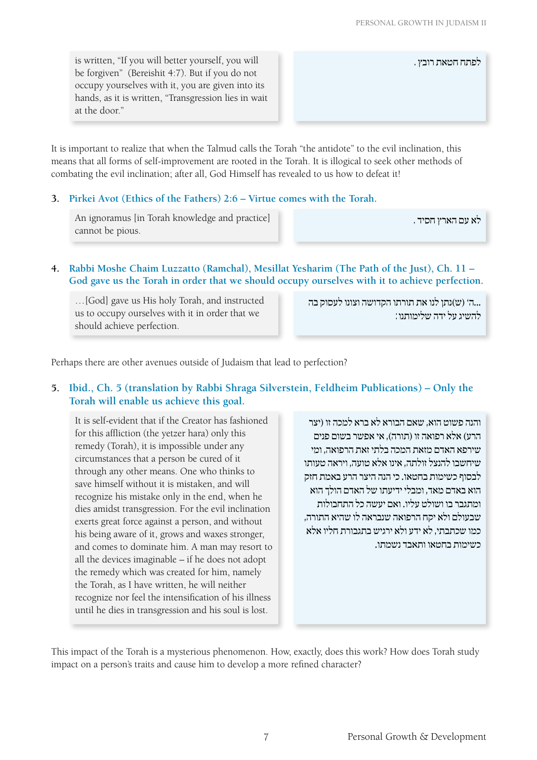is written, "If you will better yourself, you will be forgiven" (Bereishit 4:7). But if you do not occupy yourselves with it, you are given into its hands, as it is written, "Transgression lies in wait at the door."

לפתח חטאת רובץ.

It is important to realize that when the Talmud calls the Torah "the antidote" to the evil inclination, this means that all forms of self-improvement are rooted in the Torah. It is illogical to seek other methods of combating the evil inclination; after all, God Himself has revealed to us how to defeat it!

### **3. Pirkei Avot (Ethics of the Fathers) 2:6 – Virtue comes with the Torah.**

An ignoramus [in Torah knowledge and practice] cannot be pious.

לא עם הארץ חסיד.

### **4. Rabbi Moshe Chaim Luzzatto (Ramchal), Mesillat Yesharim (The Path of the Just), Ch. 11 – God gave us the Torah in order that we should occupy ourselves with it to achieve perfection.**

…[God] gave us His holy Torah, and instructed us to occupy ourselves with it in order that we should achieve perfection.

...ה' (ש)נתן לנו את תורתו הקדושה וצונו לעסוק בה... להשיג על ידה שלימותנו:

Perhaps there are other avenues outside of Judaism that lead to perfection?

# **5. Ibid., Ch. 5 (translation by Rabbi Shraga Silverstein, Feldheim Publications) – Only the Torah will enable us achieve this goal.**

It is self-evident that if the Creator has fashioned for this affliction (the yetzer hara) only this remedy (Torah), it is impossible under any circumstances that a person be cured of it through any other means. One who thinks to save himself without it is mistaken, and will recognize his mistake only in the end, when he dies amidst transgression. For the evil inclination exerts great force against a person, and without his being aware of it, grows and waxes stronger, and comes to dominate him. A man may resort to all the devices imaginable – if he does not adopt the remedy which was created for him, namely the Torah, as I have written, he will neither recognize nor feel the intensification of his illness until he dies in transgression and his soul is lost.

והנה פשוט הוא, שאם הבורא לא ברא למכה זו )יצר הרע) אלא רפואה זו (תורה). אי אפשר בשום פנים שירפא האדם מזאת המכה בלתי זאת הרפואה, ומי שיחשבו להנצל זולתה, אינו אלא טועה, ויראה טעותו לבסוף כשימות בחטאו. כי הנה היצר הרע באמת חזק הוא באדם מאד, ומבלי ידיעתו של האדם הולך הוא ומתגבר בו ושולט עליו. ואם יעשה כל התחבולות שבעולם ולא יקח הרפואה שנבראה לו שהיא התורה, כמו שכתבתי, לא ידע ולא ירגיש בתגבורת חליו אלא כשימות בחטאו ותאבד נשמתו.

This impact of the Torah is a mysterious phenomenon. How, exactly, does this work? How does Torah study impact on a person's traits and cause him to develop a more refined character?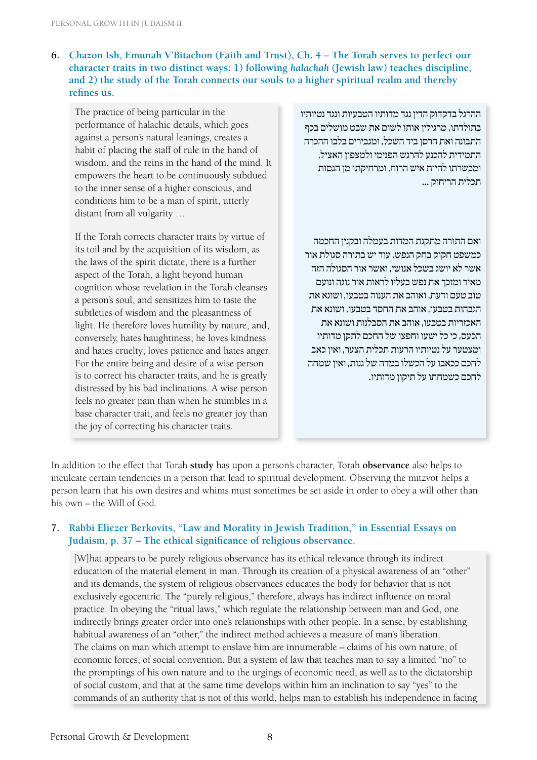### **6. Chazon Ish, Emunah V'Bitachon (Faith and Trust), Ch. 4 – The Torah serves to perfect our character traits in two distinct ways: 1) following** *halachah* **(Jewish law) teaches discipline, and 2) the study of the Torah connects our souls to a higher spiritual realm and thereby refines us.**

The practice of being particular in the performance of halachic details, which goes against a person's natural leanings, creates a habit of placing the staff of rule in the hand of wisdom, and the reins in the hand of the mind. It empowers the heart to be continuously subdued to the inner sense of a higher conscious, and conditions him to be a man of spirit, utterly distant from all vulgarity …

If the Torah corrects character traits by virtue of its toil and by the acquisition of its wisdom, as the laws of the spirit dictate, there is a further aspect of the Torah, a light beyond human cognition whose revelation in the Torah cleanses a person's soul, and sensitizes him to taste the subtleties of wisdom and the pleasantness of light. He therefore loves humility by nature, and, conversely, hates haughtiness; he loves kindness and hates cruelty; loves patience and hates anger. For the entire being and desire of a wise person is to correct his character traits, and he is greatly distressed by his bad inclinations. A wise person feels no greater pain than when he stumbles in a base character trait, and feels no greater joy than the joy of correcting his character traits.

ההרגל בדקדוק הדין נגד מדותיו הטבעיות ונגד נטיותיו בתולדתו, מרגילין אותו לשום את שבט מושלים בכף התבונה ואת הרסן ביד השכל, ומגבירים בלבו ההכרה התמידית להכנע להרגש הפנימי ולמצפון האציל, ומכשרתו להיות איש הרוח, ומרחיקתו מן הגסות תכלית הריחוק ...

ואם התורה מתקנת המדות בעמלה ובקנין החכמה כמשפט חקוק בחק הנפש, עוד יש בתורה סגולת אור אשר לא יושג בשכל אנושי, ואשר אור הסגולה הזה מאיר ומזכך את נפש בעליו לראות אור נוגה ונועם טוב טעם ודעת, ואוהב את הענוה בטבעו, ושונא את הגבהות בטבעו, אוהב את החסד בטבעו, ושונא את האכזריות בטבעו, אוהב את הסבלנות ושונא את הכעס, כי כל ישעו וחפצו של החכם לתקן מדותיו ומצטער על נטיותיו הרעות תכלית הצער, ואין כאב לחכם ככאבו על הכשלו במדה של גנות, ואין שמחה לחכם כשמחתו על תיקון מדותיו.

In addition to the effect that Torah **study** has upon a person's character, Torah **observance** also helps to inculcate certain tendencies in a person that lead to spiritual development. Observing the mitzvot helps a person learn that his own desires and whims must sometimes be set aside in order to obey a will other than his own – the Will of God.

# **7. Rabbi Eliezer Berkovits, "Law and Morality in Jewish Tradition," in Essential Essays on Judaism, p. 37 – The ethical significance of religious observance.**

[W]hat appears to be purely religious observance has its ethical relevance through its indirect education of the material element in man. Through its creation of a physical awareness of an "other" and its demands, the system of religious observances educates the body for behavior that is not exclusively egocentric. The "purely religious," therefore, always has indirect influence on moral practice. In obeying the "ritual laws," which regulate the relationship between man and God, one indirectly brings greater order into one's relationships with other people. In a sense, by establishing habitual awareness of an "other," the indirect method achieves a measure of man's liberation. The claims on man which attempt to enslave him are innumerable – claims of his own nature, of economic forces, of social convention. But a system of law that teaches man to say a limited "no" to the promptings of his own nature and to the urgings of economic need, as well as to the dictatorship of social custom, and that at the same time develops within him an inclination to say "yes" to the commands of an authority that is not of this world, helps man to establish his independence in facing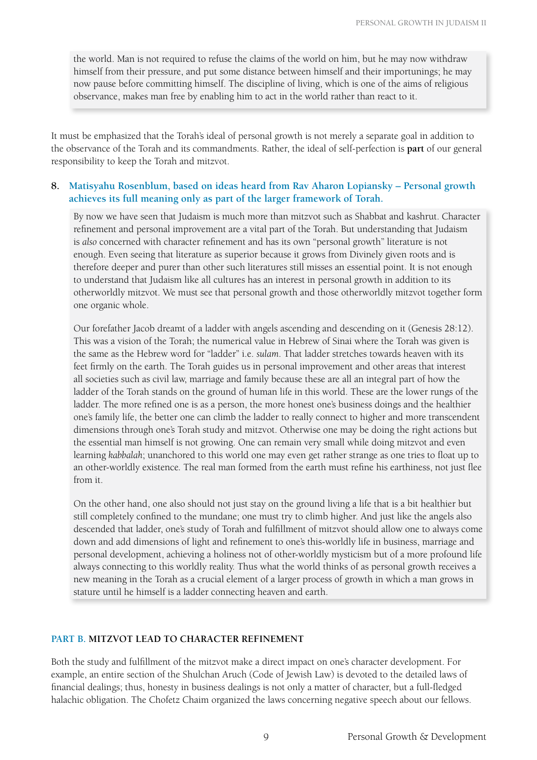the world. Man is not required to refuse the claims of the world on him, but he may now withdraw himself from their pressure, and put some distance between himself and their importunings; he may now pause before committing himself. The discipline of living, which is one of the aims of religious observance, makes man free by enabling him to act in the world rather than react to it.

It must be emphasized that the Torah's ideal of personal growth is not merely a separate goal in addition to the observance of the Torah and its commandments. Rather, the ideal of self-perfection is **part** of our general responsibility to keep the Torah and mitzvot.

### **8. Matisyahu Rosenblum, based on ideas heard from Rav Aharon Lopiansky – Personal growth achieves its full meaning only as part of the larger framework of Torah.**

By now we have seen that Judaism is much more than mitzvot such as Shabbat and kashrut. Character refinement and personal improvement are a vital part of the Torah. But understanding that Judaism is *also* concerned with character refinement and has its own "personal growth" literature is not enough. Even seeing that literature as superior because it grows from Divinely given roots and is therefore deeper and purer than other such literatures still misses an essential point. It is not enough to understand that Judaism like all cultures has an interest in personal growth in addition to its otherworldly mitzvot. We must see that personal growth and those otherworldly mitzvot together form one organic whole.

Our forefather Jacob dreamt of a ladder with angels ascending and descending on it (Genesis 28:12). This was a vision of the Torah; the numerical value in Hebrew of Sinai where the Torah was given is the same as the Hebrew word for "ladder" i.e. *sulam*. That ladder stretches towards heaven with its feet firmly on the earth. The Torah guides us in personal improvement and other areas that interest all societies such as civil law, marriage and family because these are all an integral part of how the ladder of the Torah stands on the ground of human life in this world. These are the lower rungs of the ladder. The more refined one is as a person, the more honest one's business doings and the healthier one's family life, the better one can climb the ladder to really connect to higher and more transcendent dimensions through one's Torah study and mitzvot. Otherwise one may be doing the right actions but the essential man himself is not growing. One can remain very small while doing mitzvot and even learning *kabbalah*; unanchored to this world one may even get rather strange as one tries to float up to an other-worldly existence*.* The real man formed from the earth must refine his earthiness, not just flee from it.

On the other hand, one also should not just stay on the ground living a life that is a bit healthier but still completely confined to the mundane; one must try to climb higher. And just like the angels also descended that ladder, one's study of Torah and fulfillment of mitzvot should allow one to always come down and add dimensions of light and refinement to one's this-worldly life in business, marriage and personal development, achieving a holiness not of other-worldly mysticism but of a more profound life always connecting to this worldly reality. Thus what the world thinks of as personal growth receives a new meaning in the Torah as a crucial element of a larger process of growth in which a man grows in stature until he himself is a ladder connecting heaven and earth.

#### **Part B. Mitzvot Lead to Character Refinement**

Both the study and fulfillment of the mitzvot make a direct impact on one's character development. For example, an entire section of the Shulchan Aruch (Code of Jewish Law) is devoted to the detailed laws of financial dealings; thus, honesty in business dealings is not only a matter of character, but a full-fledged halachic obligation. The Chofetz Chaim organized the laws concerning negative speech about our fellows.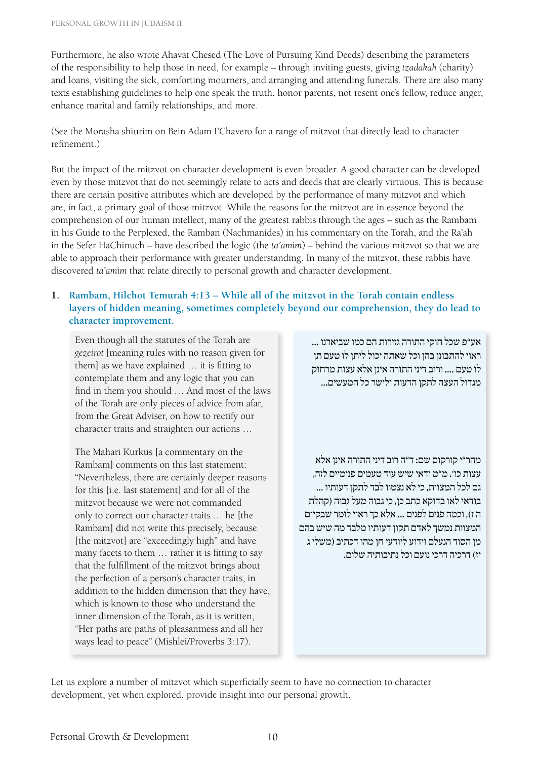Furthermore, he also wrote Ahavat Chesed (The Love of Pursuing Kind Deeds) describing the parameters of the responsibility to help those in need, for example – through inviting guests, giving *tzadakah* (charity) and loans, visiting the sick, comforting mourners, and arranging and attending funerals. There are also many texts establishing guidelines to help one speak the truth, honor parents, not resent one's fellow, reduce anger, enhance marital and family relationships, and more.

(See the Morasha shiurim on Bein Adam L'Chavero for a range of mitzvot that directly lead to character refinement.)

But the impact of the mitzvot on character development is even broader. A good character can be developed even by those mitzvot that do not seemingly relate to acts and deeds that are clearly virtuous. This is because there are certain positive attributes which are developed by the performance of many mitzvot and which are, in fact, a primary goal of those mitzvot. While the reasons for the mitzvot are in essence beyond the comprehension of our human intellect, many of the greatest rabbis through the ages – such as the Rambam in his Guide to the Perplexed, the Ramban (Nachmanides) in his commentary on the Torah, and the Ra'ah in the Sefer HaChinuch – have described the logic (the *ta'amim*) – behind the various mitzvot so that we are able to approach their performance with greater understanding. In many of the mitzvot, these rabbis have discovered *ta'amim* that relate directly to personal growth and character development.

## **1. Rambam, Hilchot Temurah 4:13 – While all of the mitzvot in the Torah contain endless layers of hidden meaning, sometimes completely beyond our comprehension, they do lead to character improvement.**

Even though all the statutes of the Torah are *gezeirot* [meaning rules with no reason given for them] as we have explained … it is fitting to contemplate them and any logic that you can find in them you should … And most of the laws of the Torah are only pieces of advice from afar, from the Great Adviser, on how to rectify our character traits and straighten our actions …

The Mahari Kurkus [a commentary on the Rambam] comments on this last statement: "Nevertheless, there are certainly deeper reasons for this [i.e. last statement] and for all of the mitzvot because we were not commanded only to correct our character traits *…* he [the Rambam] did not write this precisely, because [the mitzvot] are "exceedingly high" and have many facets to them … rather it is fitting to say that the fulfillment of the mitzvot brings about the perfection of a person's character traits, in addition to the hidden dimension that they have, which is known to those who understand the inner dimension of the Torah, as it is written, "Her paths are paths of pleasantness and all her ways lead to peace" (Mishlei/Proverbs 3:17).

אע"פ שכל חוקי התורה גזירות הם כמו שביארנו ... ראוי להתבונן בהן וכל שאתה יכול ליתן לו טעם תן לו טעם .... ורוב דיני התורה אינן אלא עצות מרחוק מגדול העצה לתקן הדעות ולישר כל המעשים...

מהר"י קורקוס שם: ד"ה רוב דיני התורה אינן אלא עצות כו'. מ"מ ודאי שיש עוד טעמים פנימיים לזה, גם לכל המצוות, כי לא נצטוו לבד לתקן דעותיו ... בודאי לאו בדוקא כתב כן, כי גבוה מעל גבוה )קהלת ה ז), וכמה פנים לפנים ... אלא כך ראוי לומר שבקיום המצוות נמשך לאדם תקון דעותיו מלבד מה שיש בהם מן הסוד הנעלם וידוע ליודעי חן מהו דכתיב )משלי ג יז) דרכיה דרכי נועם וכל נתיבותיה שלום.

Let us explore a number of mitzvot which superficially seem to have no connection to character development, yet when explored, provide insight into our personal growth.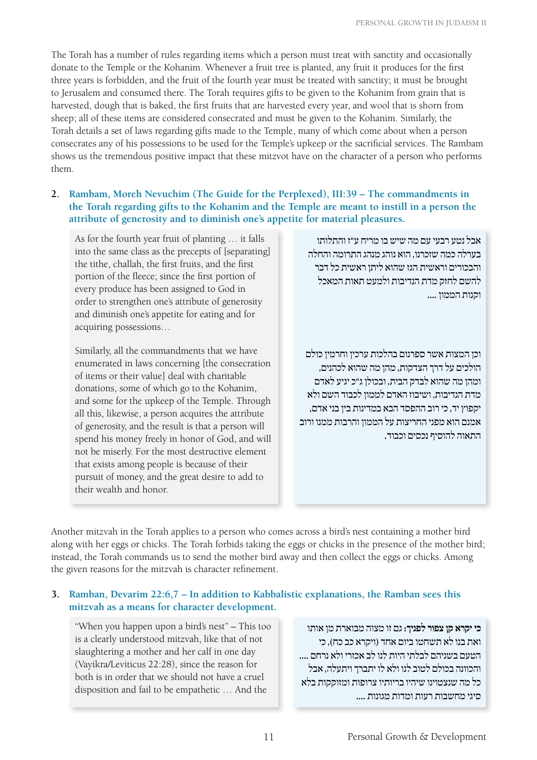The Torah has a number of rules regarding items which a person must treat with sanctity and occasionally donate to the Temple or the Kohanim. Whenever a fruit tree is planted, any fruit it produces for the first three years is forbidden, and the fruit of the fourth year must be treated with sanctity; it must be brought to Jerusalem and consumed there. The Torah requires gifts to be given to the Kohanim from grain that is harvested, dough that is baked, the first fruits that are harvested every year, and wool that is shorn from sheep; all of these items are considered consecrated and must be given to the Kohanim. Similarly, the Torah details a set of laws regarding gifts made to the Temple, many of which come about when a person consecrates any of his possessions to be used for the Temple's upkeep or the sacrificial services. The Rambam shows us the tremendous positive impact that these mitzvot have on the character of a person who performs them.

# **2. Rambam, Moreh Nevuchim (The Guide for the Perplexed), III:39 – The commandments in the Torah regarding gifts to the Kohanim and the Temple are meant to instill in a person the attribute of generosity and to diminish one's appetite for material pleasures.**

As for the fourth year fruit of planting … it falls into the same class as the precepts of [separating] the tithe, challah, the first fruits, and the first portion of the fleece; since the first portion of every produce has been assigned to God in order to strengthen one's attribute of generosity and diminish one's appetite for eating and for acquiring possessions…

Similarly, all the commandments that we have enumerated in laws concerning [the consecration of items or their value] deal with charitable donations, some of which go to the Kohanim, and some for the upkeep of the Temple. Through all this, likewise, a person acquires the attribute of generosity, and the result is that a person will spend his money freely in honor of God, and will not be miserly. For the most destructive element that exists among people is because of their pursuit of money, and the great desire to add to their wealth and honor.

אבל נטע רבעי עם מה שיש בו מריח ע"ז והתלותו בערלה כמה שזכרנו, הוא נוהג מנהג התרומה והחלה והבכורים וראשית הגז שהוא ליתן ראשית כל דבר להשם לחזק מדת הנדיבות ולמעט תאות המאכל וקנות הממון ....

וכן המצות אשר ספרנום בהלכות ערכין וחרמין כולם הולכים על דרך הצדקות, מהן מה שהוא לכהנים, ומהן מה שהוא לבדק הבית, ובכולן ג"כ יגיע לאדם מדת הנדיבות, ושיבוז האדם לממון לכבוד השם ולא יקפוץ יד, כי רוב ההפסד הבא במדינות בין בני אדם, אמנם הוא מפני החריצות על הממון והרבות ממנו ורוב התאוה להוסיף נכסים וכבוד.

Another mitzvah in the Torah applies to a person who comes across a bird's nest containing a mother bird along with her eggs or chicks. The Torah forbids taking the eggs or chicks in the presence of the mother bird; instead, the Torah commands us to send the mother bird away and then collect the eggs or chicks. Among the given reasons for the mitzvah is character refinement.

### **3. Ramban, Devarim 22:6,7 – In addition to Kabbalistic explanations, the Ramban sees this mitzvah as a means for character development.**

"When you happen upon a bird's nest" – This too is a clearly understood mitzvah, like that of not slaughtering a mother and her calf in one day (Vayikra/Leviticus 22:28), since the reason for both is in order that we should not have a cruel disposition and fail to be empathetic … And the

**כי יקרא קן צפור לפניך:** גם זו מצוה מבוארת מן אותו ואת בנו לא תשחטו ביום אחד )ויקרא כב כח(, כי הטעם בשניהם לבלתי היות לנו לב אכזרי ולא נרחם .... והכוונה בכולם לטוב לנו ולא לו יתברך ויתעלה, אבל כל מה שנצטוינו שיהיו בריותיו צרופות ומזוקקות בלא סיגי מחשבות רעות ומדות מגונות ....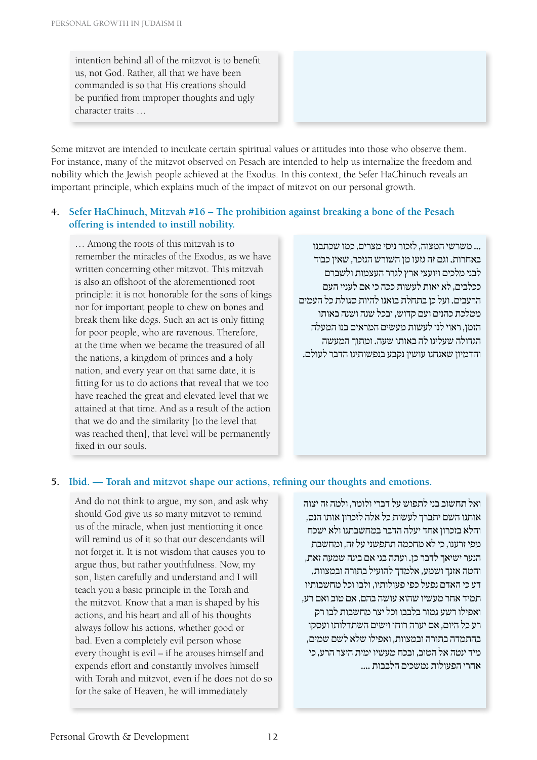intention behind all of the mitzvot is to benefit us, not God. Rather, all that we have been commanded is so that His creations should be purified from improper thoughts and ugly character traits …

Some mitzvot are intended to inculcate certain spiritual values or attitudes into those who observe them. For instance, many of the mitzvot observed on Pesach are intended to help us internalize the freedom and nobility which the Jewish people achieved at the Exodus. In this context, the Sefer HaChinuch reveals an important principle, which explains much of the impact of mitzvot on our personal growth.

### **4. Sefer HaChinuch, Mitzvah #16 – The prohibition against breaking a bone of the Pesach offering is intended to instill nobility.**

… Among the roots of this mitzvah is to remember the miracles of the Exodus, as we have written concerning other mitzvot. This mitzvah is also an offshoot of the aforementioned root principle: it is not honorable for the sons of kings nor for important people to chew on bones and break them like dogs. Such an act is only fitting for poor people, who are ravenous. Therefore, at the time when we became the treasured of all the nations, a kingdom of princes and a holy nation, and every year on that same date, it is fitting for us to do actions that reveal that we too have reached the great and elevated level that we attained at that time. And as a result of the action that we do and the similarity [to the level that was reached then], that level will be permanently fixed in our souls.

... משרשי המצוה, לזכור ניסי מצרים, כמו שכתבנו באחרות. וגם זה גזעו מן השורש הנזכר, שאין כבוד לבני מלכים ויועצי ארץ לגרר העצמות ולשברם ככלבים, לא יאות לעשות ככה כי אם לעניי העם הרעבים. ועל כן בתחלת בואנו להיות סגולת כל העמים ממלכת כהנים ועם קדוש, ובכל שנה ושנה באותו הזמן, ראוי לנו לעשות מעשים המראים בנו המעלה הגדולה שעלינו לה באותו שעה. ומתוך המעשה והדמיון שאנחנו עושין נקבע בנפשותינו הדבר לעולם.

## **5. Ibid. — Torah and mitzvot shape our actions, refining our thoughts and emotions.**

And do not think to argue, my son, and ask why should God give us so many mitzvot to remind us of the miracle, when just mentioning it once will remind us of it so that our descendants will not forget it. It is not wisdom that causes you to argue thus, but rather youthfulness. Now, my son, listen carefully and understand and I will teach you a basic principle in the Torah and the mitzvot*.* Know that a man is shaped by his actions, and his heart and all of his thoughts always follow his actions, whether good or bad. Even a completely evil person whose every thought is evil – if he arouses himself and expends effort and constantly involves himself with Torah and mitzvot, even if he does not do so for the sake of Heaven, he will immediately

ואל תחשוב בני לתפוש על דברי ולומר, ולמה זה יצוה אותנו השם יתברך לעשות כל אלה לזכרון אותו הנס, והלא בזכרון אחד יעלה הדבר במחשבתנו ולא ישכח מפי זרענו, כי לא מחכמה תתפשני על זה, ומחשבת הנער ישיאך לדבר כן. ועתה בני אם בינה שמעה זאת, והטה אזנך ושמע, אלמדך להועיל בתורה ובמצוות. דע כי האדם נפעל כפי פעולותיו, ולבו וכל מחשבותיו תמיד אחר מעשיו שהוא עושה בהם, אם טוב ואם רע, ואפילו רשע גמור בלבבו וכל יצר מחשבות לבו רק רע כל היום, אם יערה רוחו וישים השתדלותו ועסקו בהתמדה בתורה ובמצוות, ואפילו שלא לשם שמים, מיד ינטה אל הטוב, ובכח מעשיו ימית היצר הרע, כי אחרי הפעולות נמשכים הלבבות ....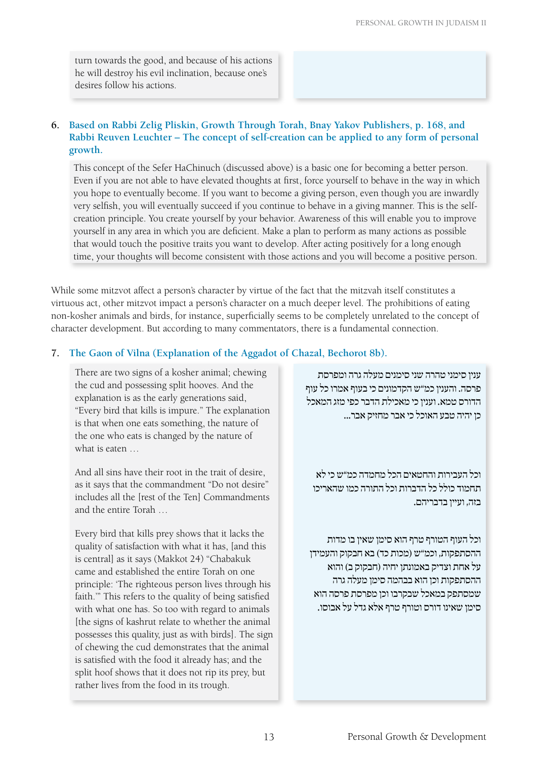turn towards the good, and because of his actions he will destroy his evil inclination, because one's desires follow his actions.

# **6. Based on Rabbi Zelig Pliskin, Growth Through Torah, Bnay Yakov Publishers, p. 168, and Rabbi Reuven Leuchter – The concept of self-creation can be applied to any form of personal growth.**

This concept of the Sefer HaChinuch (discussed above) is a basic one for becoming a better person. Even if you are not able to have elevated thoughts at first, force yourself to behave in the way in which you hope to eventually become. If you want to become a giving person, even though you are inwardly very selfish, you will eventually succeed if you continue to behave in a giving manner. This is the selfcreation principle. You create yourself by your behavior. Awareness of this will enable you to improve yourself in any area in which you are deficient. Make a plan to perform as many actions as possible that would touch the positive traits you want to develop. After acting positively for a long enough time, your thoughts will become consistent with those actions and you will become a positive person.

While some mitzvot affect a person's character by virtue of the fact that the mitzvah itself constitutes a virtuous act, other mitzvot impact a person's character on a much deeper level. The prohibitions of eating non-kosher animals and birds, for instance, superficially seems to be completely unrelated to the concept of character development. But according to many commentators, there is a fundamental connection.

## **7. The Gaon of Vilna (Explanation of the Aggadot of Chazal, Bechorot 8b).**

There are two signs of a kosher animal; chewing the cud and possessing split hooves. And the explanation is as the early generations said, "Every bird that kills is impure." The explanation is that when one eats something, the nature of the one who eats is changed by the nature of what is eaten …

And all sins have their root in the trait of desire, as it says that the commandment "Do not desire" includes all the [rest of the Ten] Commandments and the entire Torah

Every bird that kills prey shows that it lacks the quality of satisfaction with what it has, [and this is central] as it says (Makkot 24) "Chabakuk came and established the entire Torah on one principle: 'The righteous person lives through his faith.'" This refers to the quality of being satisfied with what one has. So too with regard to animals [the signs of kashrut relate to whether the animal possesses this quality, just as with birds]. The sign of chewing the cud demonstrates that the animal is satisfied with the food it already has; and the split hoof shows that it does not rip its prey, but rather lives from the food in its trough.

ענין סימני טהרה שני סימנים מעלה גרה ומפרסת פרסה. והענין כמ"ש הקדמונים כי בעוף אמרו כל עוף הדורס טמא. וענין כי מאכילת הדבר כפי מזג המאכל כן יהיה טבע האוכל כי אבר מחזיק אבר...

וכל העבירות והחטאים הכל מחמדה כמ"ש כי לא תחמוד כולל כל הדברות וכל התורה כמו שהאריכו בזה, ועיין בדבריהם.

וכל העוף הטורף טרף הוא סימן שאין בו מדות ההסתפקות, וכמ"ש (מכות כד) בא חבקוק והעמידן על אחת וצדיק באמונתן יחיה (חבקוק ב) והוא ההסתפקות וכן הוא בבהמה סימן מעלה גרה שמסתפק במאכל שבקרבו וכן מפרסת פרסה הוא סימן שאינו דורס וטורף טרף אלא גדל על אבוסו.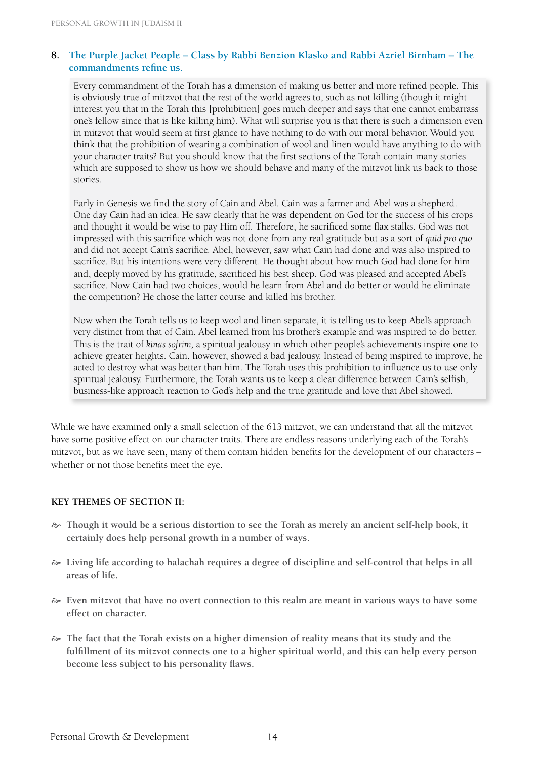### **8. The Purple Jacket People – Class by Rabbi Benzion Klasko and Rabbi Azriel Birnham – The commandments refine us.**

Every commandment of the Torah has a dimension of making us better and more refined people. This is obviously true of mitzvot that the rest of the world agrees to, such as not killing (though it might interest you that in the Torah this [prohibition] goes much deeper and says that one cannot embarrass one's fellow since that is like killing him). What will surprise you is that there is such a dimension even in mitzvot that would seem at first glance to have nothing to do with our moral behavior. Would you think that the prohibition of wearing a combination of wool and linen would have anything to do with your character traits? But you should know that the first sections of the Torah contain many stories which are supposed to show us how we should behave and many of the mitzvot link us back to those stories.

Early in Genesis we find the story of Cain and Abel. Cain was a farmer and Abel was a shepherd. One day Cain had an idea. He saw clearly that he was dependent on God for the success of his crops and thought it would be wise to pay Him off. Therefore, he sacrificed some flax stalks. God was not impressed with this sacrifice which was not done from any real gratitude but as a sort of *quid pro quo*  and did not accept Cain's sacrifice*.* Abel, however, saw what Cain had done and was also inspired to sacrifice. But his intentions were very different. He thought about how much God had done for him and, deeply moved by his gratitude, sacrificed his best sheep. God was pleased and accepted Abel's sacrifice. Now Cain had two choices, would he learn from Abel and do better or would he eliminate the competition? He chose the latter course and killed his brother.

Now when the Torah tells us to keep wool and linen separate, it is telling us to keep Abel's approach very distinct from that of Cain. Abel learned from his brother's example and was inspired to do better. This is the trait of *kinas sofrim,* a spiritual jealousy in which other people's achievements inspire one to achieve greater heights. Cain, however, showed a bad jealousy. Instead of being inspired to improve, he acted to destroy what was better than him. The Torah uses this prohibition to influence us to use only spiritual jealousy. Furthermore, the Torah wants us to keep a clear difference between Cain's selfish, business-like approach reaction to God's help and the true gratitude and love that Abel showed.

While we have examined only a small selection of the 613 mitzvot, we can understand that all the mitzvot have some positive effect on our character traits. There are endless reasons underlying each of the Torah's mitzvot, but as we have seen, many of them contain hidden benefits for the development of our characters – whether or not those benefits meet the eye.

### **Key Themes of Section II:**

- H **Though it would be a serious distortion to see the Torah as merely an ancient self-help book, it certainly does help personal growth in a number of ways.**
- $\approx$  Living life according to halachah requires a degree of discipline and self-control that helps in all **areas of life.**
- H **Even mitzvot that have no overt connection to this realm are meant in various ways to have some effect on character.**
- $\approx$  The fact that the Torah exists on a higher dimension of reality means that its study and the **fulfillment of its mitzvot connects one to a higher spiritual world, and this can help every person become less subject to his personality flaws.**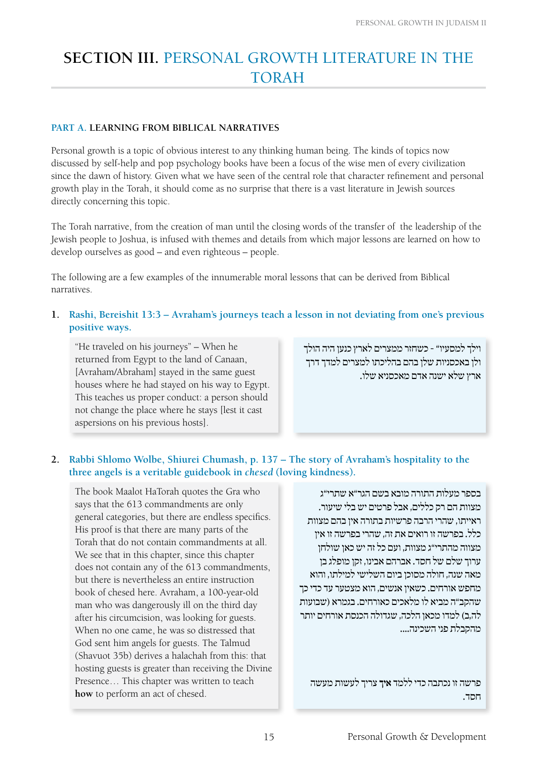# **Section III.** Personal Growth Literature in the **TORAH**

### **Part A. Learning from Biblical Narratives**

Personal growth is a topic of obvious interest to any thinking human being. The kinds of topics now discussed by self-help and pop psychology books have been a focus of the wise men of every civilization since the dawn of history. Given what we have seen of the central role that character refinement and personal growth play in the Torah, it should come as no surprise that there is a vast literature in Jewish sources directly concerning this topic.

The Torah narrative, from the creation of man until the closing words of the transfer of the leadership of the Jewish people to Joshua, is infused with themes and details from which major lessons are learned on how to develop ourselves as good – and even righteous – people.

The following are a few examples of the innumerable moral lessons that can be derived from Biblical narratives.

## **1. Rashi, Bereishit 13:3 – Avraham's journeys teach a lesson in not deviating from one's previous positive ways.**

"He traveled on his journeys" – When he returned from Egypt to the land of Canaan, [Avraham/Abraham] stayed in the same guest houses where he had stayed on his way to Egypt. This teaches us proper conduct: a person should not change the place where he stays [lest it cast aspersions on his previous hosts].

וילך למסעיו" - כשחזר ממצרים לארץ כנען היה הולך ולן באכסניות שלן בהם בהליכתו למצרים למדך דרך ארץ שלא ישנה אדם מאכסניא שלו.

# **2. Rabbi Shlomo Wolbe, Shiurei Chumash, p. 137 – The story of Avraham's hospitality to the three angels is a veritable guidebook in** *chesed* **(loving kindness).**

The book Maalot HaTorah quotes the Gra who says that the 613 commandments are only general categories, but there are endless specifics. His proof is that there are many parts of the Torah that do not contain commandments at all. We see that in this chapter, since this chapter does not contain any of the 613 commandments, but there is nevertheless an entire instruction book of chesed here. Avraham, a 100-year-old man who was dangerously ill on the third day after his circumcision, was looking for guests. When no one came, he was so distressed that God sent him angels for guests. The Talmud (Shavuot 35b) derives a halachah from this: that hosting guests is greater than receiving the Divine Presence… This chapter was written to teach **how** to perform an act of chesed.

בספר מעלות התורה מובא בשם הגר"א שתרי"ג מצוות הם רק כללים, אבל פרטים יש בלי שיעור. ראייתו, שהרי הרבה פרשיות בתורה אין בהם מצוות כלל. בפרשה זו רואים את זה, שהרי בפרשה זו אין מצווה מהתרי"ג מצוות, ועם כל זה יש כאן שולחן ערוך שלם של חסד. אברהם אבינו, זקן מופלג בן מאה שנה, חולה מסוכן ביום השלישי למילתו, והוא מחפש אורחים. כשאין אנשים, הוא מצטער עד כדי כך שהקב"ה מביא לו מלאכים כאורחים. בגמרא )שבועות לה,ב( למדו מכאן הלכה, שגדולה הכנסת אורחים יותר מהקבלת פני השכינה....

פרשה זו נכתבה כדי ללמד **איך** צריך לעשות מעשה חסד.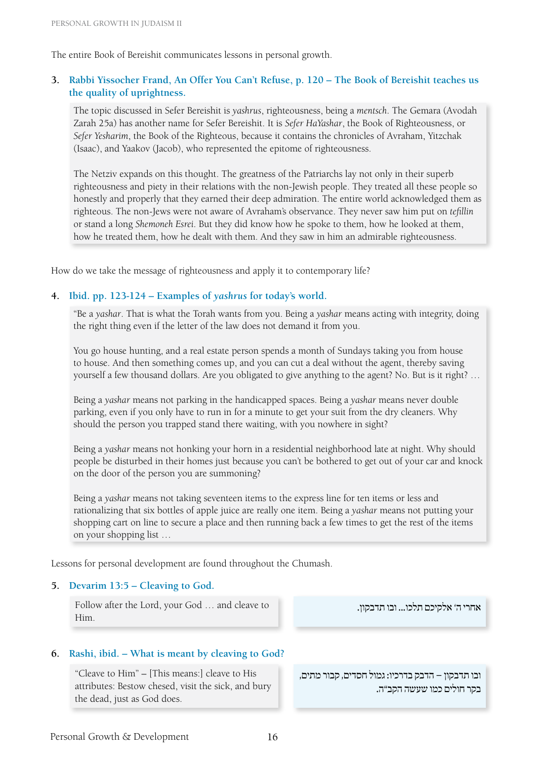The entire Book of Bereishit communicates lessons in personal growth.

### **3. Rabbi Yissocher Frand, An Offer You Can't Refuse, p. 120 – The Book of Bereishit teaches us the quality of uprightness.**

The topic discussed in Sefer Bereishit is *yashrus*, righteousness, being a *mentsch*. The Gemara (Avodah Zarah 25a) has another name for Sefer Bereishit. It is *Sefer HaYashar*, the Book of Righteousness, or *Sefer Yesharim*, the Book of the Righteous, because it contains the chronicles of Avraham, Yitzchak (Isaac), and Yaakov (Jacob), who represented the epitome of righteousness.

The Netziv expands on this thought. The greatness of the Patriarchs lay not only in their superb righteousness and piety in their relations with the non-Jewish people. They treated all these people so honestly and properly that they earned their deep admiration. The entire world acknowledged them as righteous. The non-Jews were not aware of Avraham's observance. They never saw him put on *tefillin* or stand a long *Shemoneh Esrei*. But they did know how he spoke to them, how he looked at them, how he treated them, how he dealt with them. And they saw in him an admirable righteousness.

How do we take the message of righteousness and apply it to contemporary life?

### **4. Ibid. pp. 123-124 – Examples of** *yashrus* **for today's world.**

"Be a *yashar*. That is what the Torah wants from you. Being a *yashar* means acting with integrity, doing the right thing even if the letter of the law does not demand it from you.

You go house hunting, and a real estate person spends a month of Sundays taking you from house to house. And then something comes up, and you can cut a deal without the agent, thereby saving yourself a few thousand dollars. Are you obligated to give anything to the agent? No. But is it right? …

Being a *yashar* means not parking in the handicapped spaces. Being a *yashar* means never double parking, even if you only have to run in for a minute to get your suit from the dry cleaners. Why should the person you trapped stand there waiting, with you nowhere in sight?

Being a *yashar* means not honking your horn in a residential neighborhood late at night. Why should people be disturbed in their homes just because you can't be bothered to get out of your car and knock on the door of the person you are summoning?

Being a *yashar* means not taking seventeen items to the express line for ten items or less and rationalizing that six bottles of apple juice are really one item. Being a *yashar* means not putting your shopping cart on line to secure a place and then running back a few times to get the rest of the items on your shopping list …

Lessons for personal development are found throughout the Chumash.

#### **5. Devarim 13:5 – Cleaving to God.**

Follow after the Lord, your God … and cleave to Him.

### **6. Rashi, ibid. – What is meant by cleaving to God?**

"Cleave to Him" – [This means:] cleave to His attributes: Bestow chesed, visit the sick, and bury the dead, just as God does.

אחרי ה' אלקיכם תלכו... ובו תדבקון.

ובו תדבקון – הדבק בדרכיו: גמול חסדים, קבור מתים, בקר חולים כמו שעשה הקב"ה.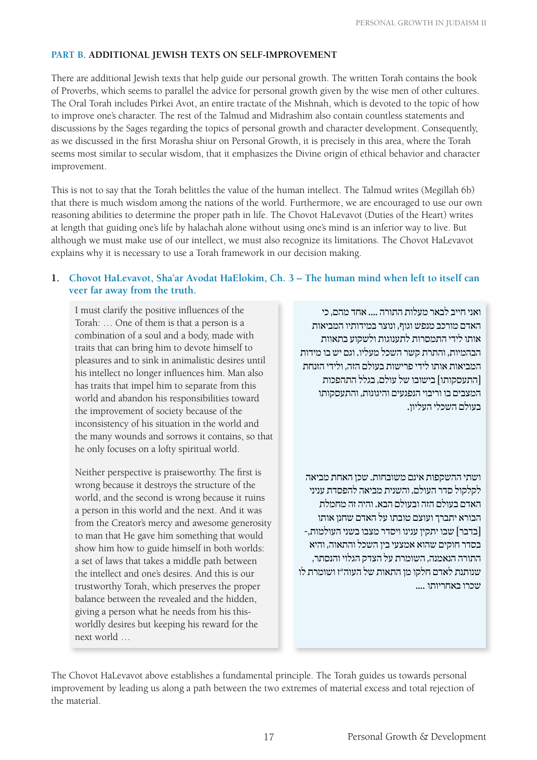### **Part B. Additional Jewish Texts on Self-Improvement**

There are additional Jewish texts that help guide our personal growth. The written Torah contains the book of Proverbs, which seems to parallel the advice for personal growth given by the wise men of other cultures. The Oral Torah includes Pirkei Avot, an entire tractate of the Mishnah, which is devoted to the topic of how to improve one's character. The rest of the Talmud and Midrashim also contain countless statements and discussions by the Sages regarding the topics of personal growth and character development. Consequently, as we discussed in the first Morasha shiur on Personal Growth, it is precisely in this area, where the Torah seems most similar to secular wisdom, that it emphasizes the Divine origin of ethical behavior and character improvement.

This is not to say that the Torah belittles the value of the human intellect. The Talmud writes (Megillah 6b) that there is much wisdom among the nations of the world. Furthermore, we are encouraged to use our own reasoning abilities to determine the proper path in life. The Chovot HaLevavot (Duties of the Heart) writes at length that guiding one's life by halachah alone without using one's mind is an inferior way to live. But although we must make use of our intellect, we must also recognize its limitations. The Chovot HaLevavot explains why it is necessary to use a Torah framework in our decision making.

## **1. Chovot HaLevavot, Sha'ar Avodat HaElokim, Ch. 3 – The human mind when left to itself can veer far away from the truth.**

I must clarify the positive influences of the Torah: … One of them is that a person is a combination of a soul and a body, made with traits that can bring him to devote himself to pleasures and to sink in animalistic desires until his intellect no longer influences him. Man also has traits that impel him to separate from this world and abandon his responsibilities toward the improvement of society because of the inconsistency of his situation in the world and the many wounds and sorrows it contains, so that he only focuses on a lofty spiritual world.

Neither perspective is praiseworthy. The first is wrong because it destroys the structure of the world, and the second is wrong because it ruins a person in this world and the next. And it was from the Creator's mercy and awesome generosity to man that He gave him something that would show him how to guide himself in both worlds: a set of laws that takes a middle path between the intellect and one's desires. And this is our trustworthy Torah, which preserves the proper balance between the revealed and the hidden, giving a person what he needs from his thisworldly desires but keeping his reward for the next world …

ואני חייב לבאר מעלות התורה .... אחד מהם, כי האדם מורכב מנפש וגוף, ונוצר במידותיו המביאות אותו לידי התמסרות לתענוגות ולשקוע בתאוות הבהמיות, והתרת קשר השכל מעליו. וגם יש בו מידות המביאות אותו לידי פרישות בעולם הזה, ולידי הזנחת ]התעסקותו[ בישובו של עולם, בגלל התהפכות המצבים בו וריבוי הנפגעים והיגונות, והתעסקותו בעולם השכלי העליון.

ושתי ההשקפות אינם משובחות. שכן האחת מביאה לקלקול סדר העולם, והשנית מביאה להפסדת עניני האדם בעולם הזה ובעולם הבא. והיה זה מחמלת הבורא יתברך ועוצם טובתו על האדם שחנן אותו ]בדבר[ שבו יתקין ענינו ויסדר מצבו בשני העולמות-, בסדר חוקים שהוא אמצעי בין השכל והתאוה, והיא התורה הנאמנה, השומרת על הצדק הגלוי והנסתר, שנותנת לאדם חלקו מן התאות של העוה"ז ושומרת לו שכרו באחריותו ....

The Chovot HaLevavot above establishes a fundamental principle. The Torah guides us towards personal improvement by leading us along a path between the two extremes of material excess and total rejection of the material.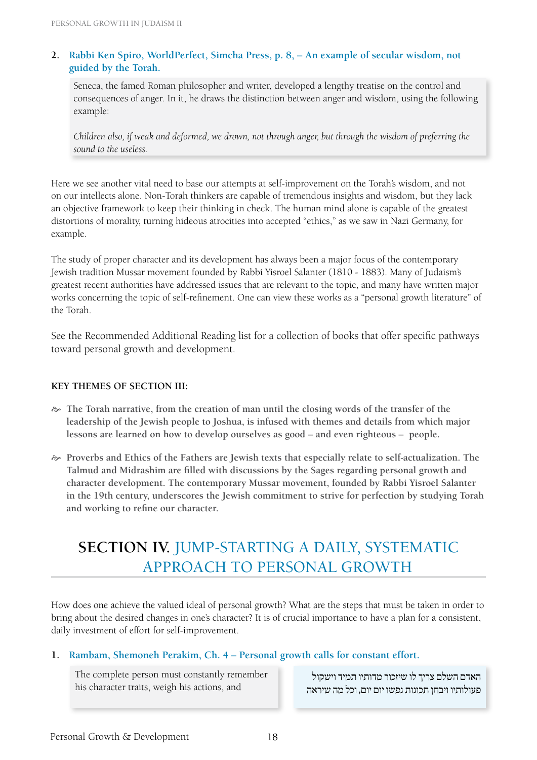### **2. Rabbi Ken Spiro, WorldPerfect, Simcha Press, p. 8, – An example of secular wisdom, not guided by the Torah.**

Seneca, the famed Roman philosopher and writer, developed a lengthy treatise on the control and consequences of anger. In it, he draws the distinction between anger and wisdom, using the following example:

*Children also, if weak and deformed, we drown, not through anger, but through the wisdom of preferring the sound to the useless.*

Here we see another vital need to base our attempts at self-improvement on the Torah's wisdom, and not on our intellects alone. Non-Torah thinkers are capable of tremendous insights and wisdom, but they lack an objective framework to keep their thinking in check. The human mind alone is capable of the greatest distortions of morality, turning hideous atrocities into accepted "ethics," as we saw in Nazi Germany, for example.

The study of proper character and its development has always been a major focus of the contemporary Jewish tradition Mussar movement founded by Rabbi Yisroel Salanter (1810 - 1883). Many of Judaism's greatest recent authorities have addressed issues that are relevant to the topic, and many have written major works concerning the topic of self-refinement. One can view these works as a "personal growth literature" of the Torah.

See the Recommended Additional Reading list for a collection of books that offer specific pathways toward personal growth and development.

## **Key Themes of Section III:**

- $\hat{\sigma}$  The Torah narrative, from the creation of man until the closing words of the transfer of the **leadership of the Jewish people to Joshua, is infused with themes and details from which major lessons are learned on how to develop ourselves as good – and even righteous – people.**
- H **Proverbs and Ethics of the Fathers are Jewish texts that especially relate to self-actualization. The Talmud and Midrashim are filled with discussions by the Sages regarding personal growth and character development. The contemporary Mussar movement, founded by Rabbi Yisroel Salanter in the 19th century, underscores the Jewish commitment to strive for perfection by studying Torah and working to refine our character.**

# **SECTION IV. JUMP-STARTING A DAILY, SYSTEMATIC** Approach to Personal Growth

How does one achieve the valued ideal of personal growth? What are the steps that must be taken in order to bring about the desired changes in one's character? It is of crucial importance to have a plan for a consistent, daily investment of effort for self-improvement.

## **1. Rambam, Shemoneh Perakim, Ch. 4 – Personal growth calls for constant effort.**

The complete person must constantly remember his character traits, weigh his actions, and

האדם השלם צריך לו שיזכור מדותיו תמיד וישקול פעולותיו ויבחן תכונות נפשו יום יום, וכל מה שיראה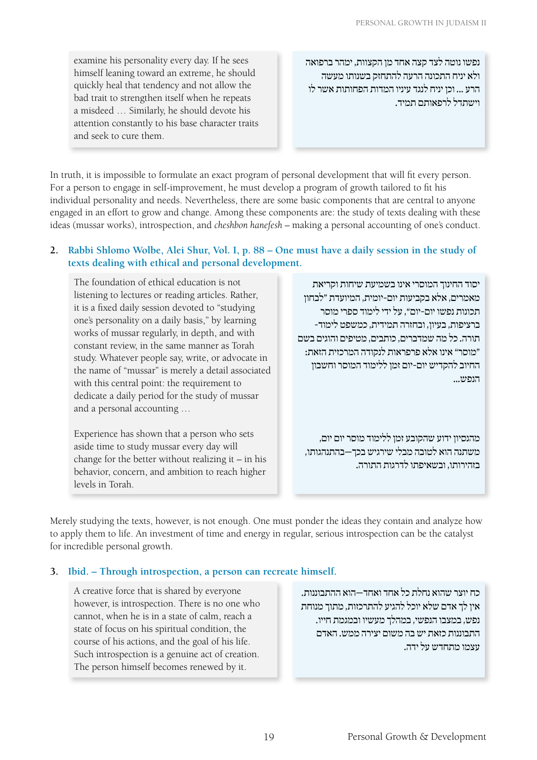examine his personality every day. If he sees himself leaning toward an extreme, he should quickly heal that tendency and not allow the bad trait to strengthen itself when he repeats a misdeed … Similarly, he should devote his attention constantly to his base character traits and seek to cure them.

נפשו נוטה לצד קצה אחד מן הקצוות, ימהר ברפואה ולא יניח התכונה הרעה להתחזק בשנותו מעשה הרע ... וכן יניח לנגד עיניו המדות הפחותות אשר לו וישתדל לרפאותם תמיד.

In truth, it is impossible to formulate an exact program of personal development that will fit every person. For a person to engage in self-improvement, he must develop a program of growth tailored to fit his individual personality and needs. Nevertheless, there are some basic components that are central to anyone engaged in an effort to grow and change. Among these components are: the study of texts dealing with these ideas (mussar works), introspection, and *cheshbon hanefesh –* making a personal accounting of one's conduct.

# **2. Rabbi Shlomo Wolbe, Alei Shur, Vol. I, p. 88 – One must have a daily session in the study of texts dealing with ethical and personal development.**

The foundation of ethical education is not listening to lectures or reading articles. Rather, it is a fixed daily session devoted to "studying one's personality on a daily basis," by learning works of mussar regularly, in depth, and with constant review, in the same manner as Torah study. Whatever people say, write, or advocate in the name of "mussar" is merely a detail associated with this central point: the requirement to dedicate a daily period for the study of mussar and a personal accounting …

Experience has shown that a person who sets aside time to study mussar every day will change for the better without realizing it – in his behavior, concern, and ambition to reach higher levels in Torah.

יסוד החינוך המוסרי אינו בשמיעת שיחות וקריאת מאמרים, אלא בקביעות יום-יומית, המיועדת "לבחון תכונות נפשו יום-יום", על ידי לימוד ספרי מוסר ברציפות, בעיון, ובחזרה תמידית, כמשפט לימוד- תורה. כל מה שמדברים, כותבים, מטיפים והוגים בשם "מוסר" אינו אלא פרפראות לנקודה המרכזית הזאת: החיוב להקדיש יום-יום זמן ללימוד המוסר וחשבון הנפש...

מהנסיון ידוע שהקובע זמן ללימוד מוסר יום יום, משתנה הוא לטובה מבלי שירגיש בכך—בהתנהגותו, בזהירותו, ובשאיפתו לדרגות התורה.

Merely studying the texts, however, is not enough. One must ponder the ideas they contain and analyze how to apply them to life. An investment of time and energy in regular, serious introspection can be the catalyst for incredible personal growth.

## **3. Ibid. – Through introspection, a person can recreate himself.**

A creative force that is shared by everyone however, is introspection. There is no one who cannot, when he is in a state of calm, reach a state of focus on his spiritual condition, the course of his actions, and the goal of his life. Such introspection is a genuine act of creation. The person himself becomes renewed by it.

כח יוצר שהוא נחלת כל אחד ואחד—הוא ההתבוננות. אין לך אדם שלא יוכל להגיע להתרכזות, מתוך מנוחת נפש, במצבו הנפשי, במהלך מעשיו ובמגמת חייו. התבוננות כזאת יש בה משום יצירה ממש. האדם עצמו מתחדש על ידה.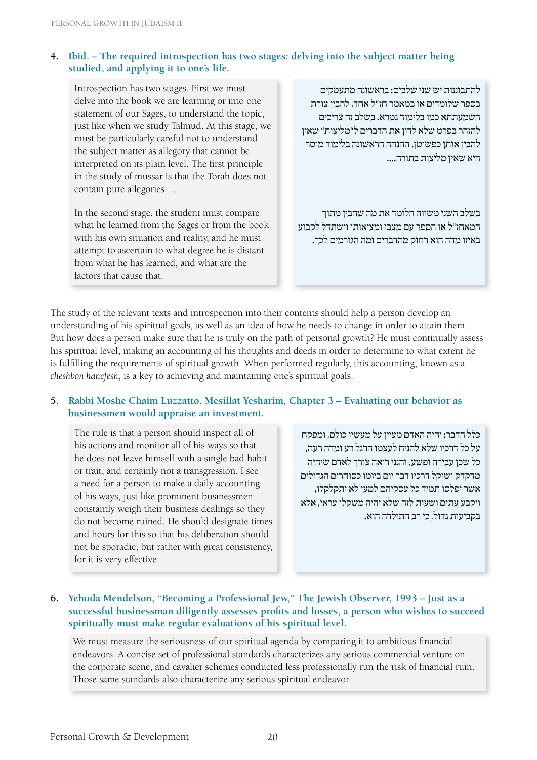### **4. Ibid. – The required introspection has two stages: delving into the subject matter being studied, and applying it to one's life.**

Introspection has two stages. First we must delve into the book we are learning or into one statement of our Sages, to understand the topic, just like when we study Talmud. At this stage, we must be particularly careful not to understand the subject matter as allegory that cannot be interpreted on its plain level. The first principle in the study of mussar is that the Torah does not contain pure allegories …

In the second stage, the student must compare what he learned from the Sages or from the book with his own situation and reality, and he must attempt to ascertain to what degree he is distant from what he has learned, and what are the factors that cause that.

להתבוננות יש שני שלבים: בראשונה מתעמקים בספר שלומדים או במאמר חז"ל אחד, להבין צורת השמעתתא כמו בלימוד גמרא. בשלב זה צריכים להזהר בפרט שלא לדון את הדברים ל"מליצות" שאין להבין אותן כפשוטן. ההנחה הראשונה בלימוד מוסר היא שאין מליצות בתורה....

בשלב השני משווה הלומד את מה שהבין מתוך המאחז"ל או הספר עם מצבו ומציאותו וישתדל לקבוע באיזו מדה הוא רחוק מהדברים ומה הגורמים לכך.

The study of the relevant texts and introspection into their contents should help a person develop an understanding of his spiritual goals, as well as an idea of how he needs to change in order to attain them. But how does a person make sure that he is truly on the path of personal growth? He must continually assess his spiritual level, making an accounting of his thoughts and deeds in order to determine to what extent he is fulfilling the requirements of spiritual growth. When performed regularly, this accounting, known as a *cheshbon hanefesh*, is a key to achieving and maintaining one's spiritual goals.

## **5. Rabbi Moshe Chaim Luzzatto, Mesillat Yesharim***,* **Chapter 3 – Evaluating our behavior as businessmen would appraise an investment.**

The rule is that a person should inspect all of his actions and monitor all of his ways so that he does not leave himself with a single bad habit or trait, and certainly not a transgression. I see a need for a person to make a daily accounting of his ways, just like prominent businessmen constantly weigh their business dealings so they do not become ruined. He should designate times and hours for this so that his deliberation should not be sporadic, but rather with great consistency, for it is very effective.

כלל הדבר: יהיה האדם מעיין על מעשיו כולם, ומפקח על כל דרכיו שלא להניח לעצמו הרגל רע ומדה רעה, כל שכן עבירה ופשע. והנני רואה צורך לאדם שיהיה מדקדק ושוקל דרכיו דבר יום ביומו כסוחרים הגדולים אשר יפלסו תמיד כל עסקיהם למען לא יתקלקלו, ויקבע עתים ושעות לזה שלא יהיה משקלו עראי, אלא בקביעות גדול, כי רב התולדה הוא.

# **6. Yehuda Mendelson, "Becoming a Professional Jew," The Jewish Observer, 1993 – Just as a successful businessman diligently assesses profits and losses, a person who wishes to succeed spiritually must make regular evaluations of his spiritual level.**

We must measure the seriousness of our spiritual agenda by comparing it to ambitious financial endeavors. A concise set of professional standards characterizes any serious commercial venture on the corporate scene, and cavalier schemes conducted less professionally run the risk of financial ruin. Those same standards also characterize any serious spiritual endeavor.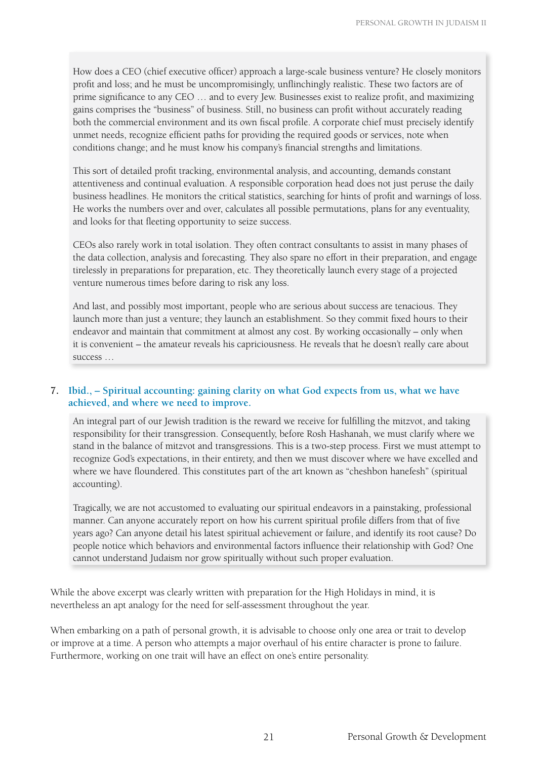How does a CEO (chief executive officer) approach a large-scale business venture? He closely monitors profit and loss; and he must be uncompromisingly, unflinchingly realistic. These two factors are of prime significance to any CEO … and to every Jew. Businesses exist to realize profit, and maximizing gains comprises the "business" of business. Still, no business can profit without accurately reading both the commercial environment and its own fiscal profile. A corporate chief must precisely identify unmet needs, recognize efficient paths for providing the required goods or services, note when conditions change; and he must know his company's financial strengths and limitations.

This sort of detailed profit tracking, environmental analysis, and accounting, demands constant attentiveness and continual evaluation. A responsible corporation head does not just peruse the daily business headlines. He monitors the critical statistics, searching for hints of profit and warnings of loss. He works the numbers over and over, calculates all possible permutations, plans for any eventuality, and looks for that fleeting opportunity to seize success.

CEOs also rarely work in total isolation. They often contract consultants to assist in many phases of the data collection, analysis and forecasting. They also spare no effort in their preparation, and engage tirelessly in preparations for preparation, etc. They theoretically launch every stage of a projected venture numerous times before daring to risk any loss.

And last, and possibly most important, people who are serious about success are tenacious. They launch more than just a venture; they launch an establishment. So they commit fixed hours to their endeavor and maintain that commitment at almost any cost. By working occasionally – only when it is convenient – the amateur reveals his capriciousness. He reveals that he doesn't really care about success …

### **7. Ibid., – Spiritual accounting: gaining clarity on what God expects from us, what we have achieved, and where we need to improve.**

An integral part of our Jewish tradition is the reward we receive for fulfilling the mitzvot, and taking responsibility for their transgression. Consequently, before Rosh Hashanah, we must clarify where we stand in the balance of mitzvot and transgressions. This is a two-step process. First we must attempt to recognize God's expectations, in their entirety, and then we must discover where we have excelled and where we have floundered. This constitutes part of the art known as "cheshbon hanefesh" (spiritual accounting).

Tragically, we are not accustomed to evaluating our spiritual endeavors in a painstaking, professional manner. Can anyone accurately report on how his current spiritual profile differs from that of five years ago? Can anyone detail his latest spiritual achievement or failure, and identify its root cause? Do people notice which behaviors and environmental factors influence their relationship with God? One cannot understand Judaism nor grow spiritually without such proper evaluation.

While the above excerpt was clearly written with preparation for the High Holidays in mind, it is nevertheless an apt analogy for the need for self-assessment throughout the year.

When embarking on a path of personal growth, it is advisable to choose only one area or trait to develop or improve at a time. A person who attempts a major overhaul of his entire character is prone to failure. Furthermore, working on one trait will have an effect on one's entire personality.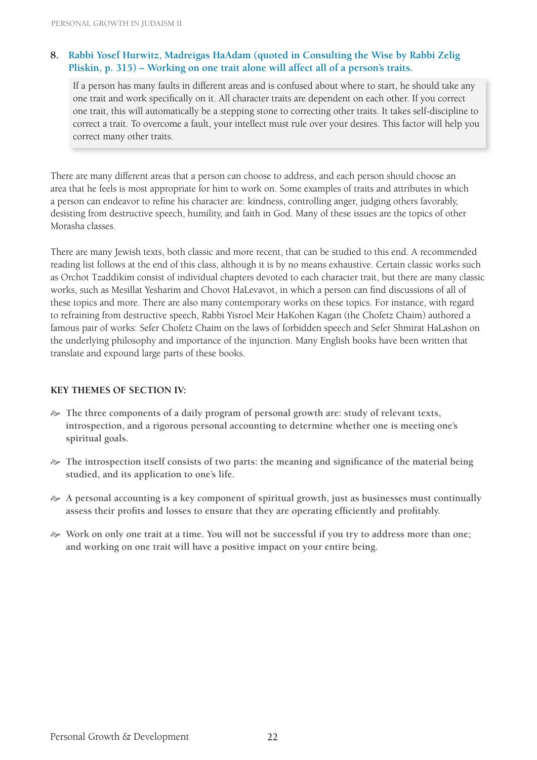### **8. Rabbi Yosef Hurwitz, Madreigas HaAdam (quoted in Consulting the Wise by Rabbi Zelig Pliskin, p. 315) – Working on one trait alone will affect all of a person's traits.**

If a person has many faults in different areas and is confused about where to start, he should take any one trait and work specifically on it. All character traits are dependent on each other. If you correct one trait, this will automatically be a stepping stone to correcting other traits. It takes self-discipline to correct a trait. To overcome a fault, your intellect must rule over your desires. This factor will help you correct many other traits.

There are many different areas that a person can choose to address, and each person should choose an area that he feels is most appropriate for him to work on. Some examples of traits and attributes in which a person can endeavor to refine his character are: kindness, controlling anger, judging others favorably, desisting from destructive speech, humility, and faith in God. Many of these issues are the topics of other Morasha classes.

There are many Jewish texts, both classic and more recent, that can be studied to this end. A recommended reading list follows at the end of this class, although it is by no means exhaustive. Certain classic works such as Orchot Tzaddikim consist of individual chapters devoted to each character trait, but there are many classic works, such as Mesillat Yesharim and Chovot HaLevavot, in which a person can find discussions of all of these topics and more. There are also many contemporary works on these topics. For instance, with regard to refraining from destructive speech, Rabbi Yisroel Meir HaKohen Kagan (the Chofetz Chaim) authored a famous pair of works: Sefer Chofetz Chaim on the laws of forbidden speech and Sefer Shmirat HaLashon on the underlying philosophy and importance of the injunction. Many English books have been written that translate and expound large parts of these books.

### **Key Themes of Section IV:**

- → The three components of a daily program of personal growth are: study of relevant texts, **introspection, and a rigorous personal accounting to determine whether one is meeting one's spiritual goals.**
- $\approx$  The introspection itself consists of two parts: the meaning and significance of the material being **studied, and its application to one's life.**
- H **A personal accounting is a key component of spiritual growth, just as businesses must continually assess their profits and losses to ensure that they are operating efficiently and profitably.**
- $\approx$  Work on only one trait at a time. You will not be successful if you try to address more than one; **and working on one trait will have a positive impact on your entire being.**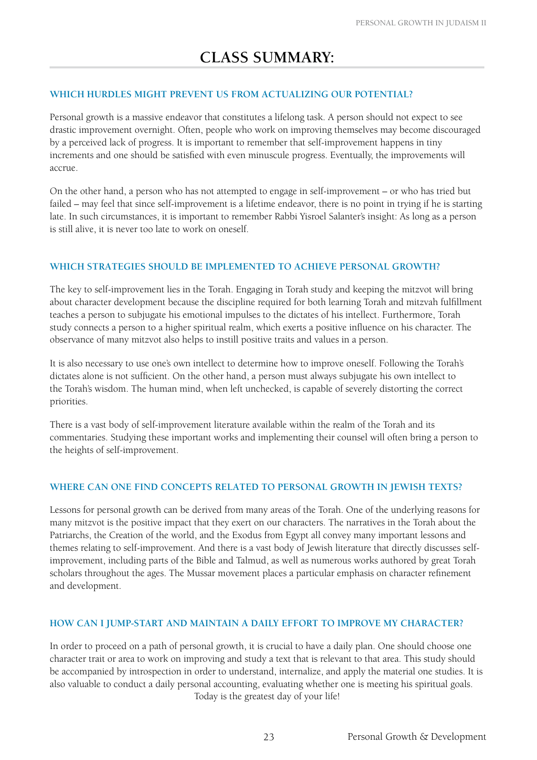### **Which hurdles might prevent us from actualizing our potential?**

Personal growth is a massive endeavor that constitutes a lifelong task. A person should not expect to see drastic improvement overnight. Often, people who work on improving themselves may become discouraged by a perceived lack of progress. It is important to remember that self-improvement happens in tiny increments and one should be satisfied with even minuscule progress. Eventually, the improvements will accrue.

On the other hand, a person who has not attempted to engage in self-improvement – or who has tried but failed – may feel that since self-improvement is a lifetime endeavor, there is no point in trying if he is starting late. In such circumstances, it is important to remember Rabbi Yisroel Salanter's insight: As long as a person is still alive, it is never too late to work on oneself.

#### **Which strategies should be implemented to achieve personal growth?**

The key to self-improvement lies in the Torah. Engaging in Torah study and keeping the mitzvot will bring about character development because the discipline required for both learning Torah and mitzvah fulfillment teaches a person to subjugate his emotional impulses to the dictates of his intellect. Furthermore, Torah study connects a person to a higher spiritual realm, which exerts a positive influence on his character. The observance of many mitzvot also helps to instill positive traits and values in a person.

It is also necessary to use one's own intellect to determine how to improve oneself. Following the Torah's dictates alone is not sufficient. On the other hand, a person must always subjugate his own intellect to the Torah's wisdom. The human mind, when left unchecked, is capable of severely distorting the correct priorities.

There is a vast body of self-improvement literature available within the realm of the Torah and its commentaries. Studying these important works and implementing their counsel will often bring a person to the heights of self-improvement.

#### **Where can one find concepts related to personal growth in Jewish texts?**

Lessons for personal growth can be derived from many areas of the Torah. One of the underlying reasons for many mitzvot is the positive impact that they exert on our characters. The narratives in the Torah about the Patriarchs, the Creation of the world, and the Exodus from Egypt all convey many important lessons and themes relating to self-improvement. And there is a vast body of Jewish literature that directly discusses selfimprovement, including parts of the Bible and Talmud, as well as numerous works authored by great Torah scholars throughout the ages. The Mussar movement places a particular emphasis on character refinement and development.

#### **How can I jump-start and maintain a daily effort to improve my character?**

In order to proceed on a path of personal growth, it is crucial to have a daily plan. One should choose one character trait or area to work on improving and study a text that is relevant to that area. This study should be accompanied by introspection in order to understand, internalize, and apply the material one studies. It is also valuable to conduct a daily personal accounting, evaluating whether one is meeting his spiritual goals. Today is the greatest day of your life!